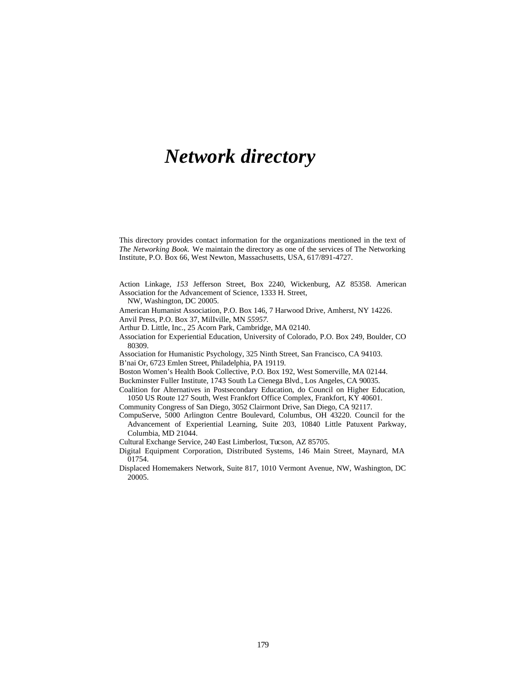## *Network directory*

This directory provides contact information for the organizations mentioned in the text of *The Networking Book.* We maintain the directory as one of the services of The Networking Institute, P.O. Box 66, West Newton, Massachusetts, USA, 617/891-4727.

Action Linkage, *153* Jefferson Street, Box 2240, Wickenburg, AZ 85358. American Association for the Advancement of Science, 1333 H. Street,

NW, Washington, DC 20005.

American Humanist Association, P.O. Box 146, 7 Harwood Drive, Amherst, NY 14226. Anvil Press, P.O. Box 37, MilIville, MN *55957.*

Arthur D. Little, Inc., 25 Acorn Park, Cambridge, MA 02140.

Association for Experiential Education, University of Colorado, P.O. Box 249, Boulder, CO 80309.

Association for Humanistic Psychology, 325 Ninth Street, San Francisco, CA 94103. B'nai Or, 6723 Emlen Street, Philadelphia, PA 19119.

Boston Women's Health Book Collective, P.O. Box 192, West Somerville, MA 02144.

Buckminster Fuller Institute, 1743 South La Cienega Blvd., Los Angeles, CA 90035.

Coalition for Alternatives in Postsecondary Education, do Council on Higher Education, 1050 US Route 127 South, West Frankfort Office Complex, Frankfort, KY 40601.

- Community Congress of San Diego, 3052 Clairmont Drive, San Diego, CA 92117.
- CompuServe, 5000 Arlington Centre Boulevard, Columbus, OH 43220. Council for the Advancement of Experiential Learning, Suite 203, 10840 Little Patuxent Parkway, Columbia, MD 21044.
- Cultural Exchange Service, 240 East Limberlost, Tucson, AZ 85705.

Digital Equipment Corporation, Distributed Systems, 146 Main Street, Maynard, MA 01754.

Displaced Homemakers Network, Suite 817, 1010 Vermont Avenue, NW, Washington, DC 20005.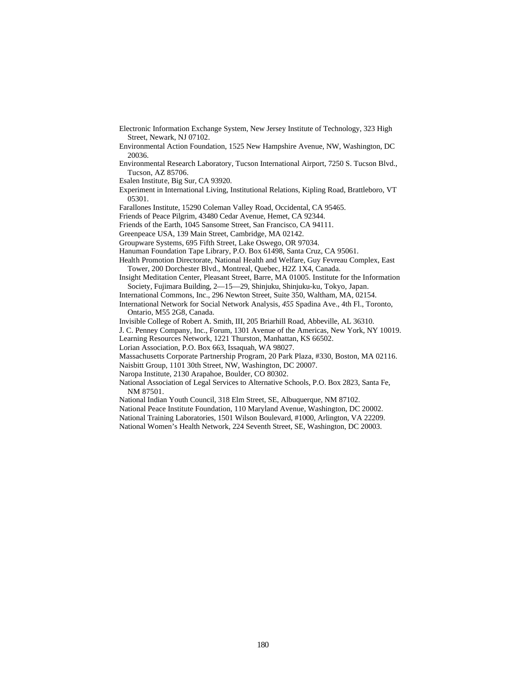Electronic Information Exchange System, New Jersey Institute of Technology, 323 High Street, Newark, NJ 07102.

Environmental Action Foundation, 1525 New Hampshire Avenue, NW, Washington, DC 20036.

Environmental Research Laboratory, Tucson International Airport, 7250 S. Tucson Blvd., Tucson, AZ 85706.

Esalen Institute, Big Sur, CA 93920.

Experiment in International Living, Institutional Relations, Kipling Road, Brattleboro, VT 05301.

Farallones Institute, 15290 Coleman Valley Road, Occidental, CA 95465.

Friends of Peace Pilgrim, 43480 Cedar Avenue, Hemet, CA 92344.

Friends of the Earth, 1045 Sansome Street, San Francisco, CA 94111.

Greenpeace USA, 139 Main Street, Cambridge, MA 02142.

Groupware Systems, 695 Fifth Street, Lake Oswego, OR 97034.

Hanuman Foundation Tape Library, P.O. Box 61498, Santa Cruz, CA 95061.

Health Promotion Directorate, National Health and Welfare, Guy Fevreau Complex, East Tower, 200 Dorchester Blvd., Montreal, Quebec, H2Z 1X4, Canada.

Insight Meditation Center, Pleasant Street, Barre, MA 01005. Institute for the Information Society, Fujimara Building, 2—15—29, Shinjuku, Shinjuku-ku, Tokyo, Japan.

International Commons, Inc., 296 Newton Street, Suite 350, Waltham, MA, 02154.

International Network for Social Network Analysis, *455* Spadina Ave., 4th Fl., Toronto, Ontario, M55 2G8, Canada.

Invisible College of Robert A. Smith, III, 205 Briarhill Road, Abbeville, AL 36310.

J. C. Penney Company, Inc., Forum, 1301 Avenue of the Americas, New York, NY 10019.

Learning Resources Network, 1221 Thurston, Manhattan, KS 66502.

Lorian Association, P.O. Box 663, Issaquah, WA 98027.

Massachusetts Corporate Partnership Program, 20 Park Plaza, #330, Boston, MA 02116.

Naisbitt Group, 1101 30th Street, NW, Washington, DC 20007.

Naropa Institute, 2130 Arapahoe, Boulder, CO 80302.

National Association of Legal Services to Alternative Schools, P.O. Box 2823, Santa Fe, NM 87501.

National Indian Youth Council, 318 Elm Street, SE, Albuquerque, NM 87102.

National Peace Institute Foundation, 110 Maryland Avenue, Washington, DC 20002.

National Training Laboratories, 1501 Wilson Boulevard, #1000, Arlington, VA 22209.

National Women's Health Network, 224 Seventh Street, SE, Washington, DC 20003.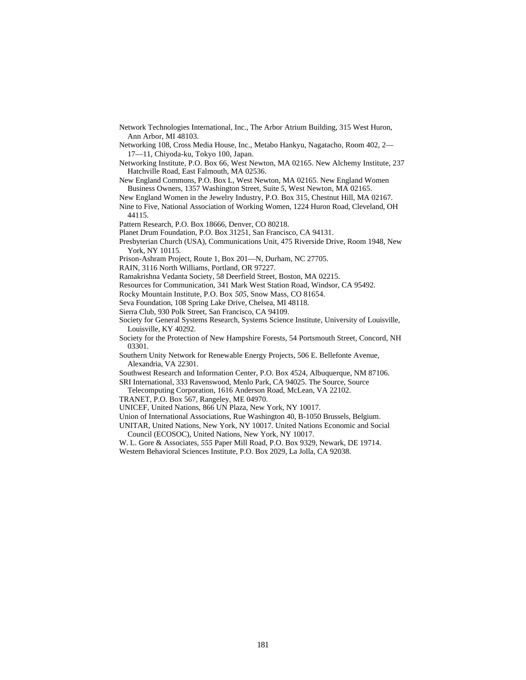Network Technologies International, Inc., The Arbor Atrium Building, 315 West Huron, Ann Arbor, MI 48103.

Networking 108, Cross Media House, Inc., Metabo Hankyu, Nagatacho, Room 402, 2— 17—11, Chiyoda-ku, Tokyo 100, Japan.

Networking Institute, P.O. Box 66, West Newton, MA 02165. New Alchemy Institute, 237 Hatchville Road, East Falmouth, MA 02536.

New England Commons, P.O. Box L, West Newton, MA 02165. New England Women Business Owners, 1357 Washington Street, Suite *5,* West Newton, MA 02165.

New England Women in the Jewelry Industry, P.O. Box 315, Chestnut Hill, MA 02167.

Nine to Five, National Association of Working Women, 1224 Huron Road, Cleveland, OH 44115.

Pattern Research, P.O. Box 18666, Denver, CO 80218.

Planet Drum Foundation, P.O. Box 31251, San Francisco, CA 94131.

Presbyterian Church (USA), Communications Unit, 475 Riverside Drive, Room 1948, New York, NY 10115.

Prison-Ashram Project, Route 1, Box 201—N, Durham, NC 27705.

RAIN, 3116 North Williams, Portland, OR 97227.

Ramakrishna Vedanta Society, 58 Deerfield Street, Boston, MA 02215.

Resources for Communication, 341 Mark West Station Road, Windsor, CA 95492.

Rocky Mountain Institute, P.O. Box *505,* Snow Mass, CO 81654.

Seva Foundation, 108 Spring Lake Drive, Chelsea, MI 48118.

Sierra Club, 930 Polk Street, San Francisco, CA 94109.

Society for General Systems Research, Systems Science Institute, University of Louisville, Louisville, KY 40292.

Society for the Protection of New Hampshire Forests, 54 Portsmouth Street, Concord, NH 03301.

Southern Unity Network for Renewable Energy Projects, 506 E. Bellefonte Avenue, Alexandria, VA 22301.

Southwest Research and Information Center, P.O. Box 4524, Albuquerque, NM 87106.

SRI International, 333 Ravenswood, Menlo Park, CA 94025. The Source, Source

Telecomputing Corporation, 1616 Anderson Road, McLean, VA 22102.

TRANET, P.O. Box 567, Rangeley, ME 04970.

UNICEF, United Nations, 866 UN Plaza, New York, NY 10017.

Union of International Associations, Rue Washington 40, B-1050 Brussels, Belgium.

UNITAR, United Nations, New York, NY 10017. United Nations Economic and Social Council (ECOSOC), United Nations, New York, NY 10017.

W. L. Gore & Associates, *555* Paper Mill Road, P.O. Box 9329, Newark, DE 19714. Western Behavioral Sciences Institute, P.O. Box 2029, La Jolla, CA 92038.